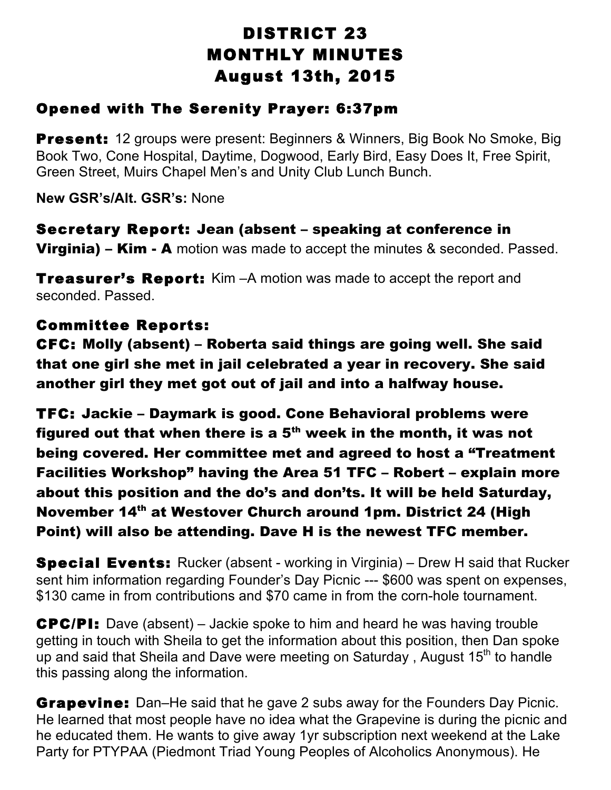# DISTRICT 23 MONTHLY MINUTES August 13th, 2015

### Opened with The Serenity Prayer: 6:37pm

**Present:** 12 groups were present: Beginners & Winners, Big Book No Smoke, Big Book Two, Cone Hospital, Daytime, Dogwood, Early Bird, Easy Does It, Free Spirit, Green Street, Muirs Chapel Men's and Unity Club Lunch Bunch.

**New GSR's/Alt. GSR's:** None

Secretary Report: Jean (absent – speaking at conference in **Virginia) – Kim - A** motion was made to accept the minutes & seconded. Passed.

**Treasurer's Report:** Kim –A motion was made to accept the report and seconded. Passed.

## Committee Reports:

CFC: Molly (absent) – Roberta said things are going well. She said that one girl she met in jail celebrated a year in recovery. She said another girl they met got out of jail and into a halfway house.

TFC: Jackie – Daymark is good. Cone Behavioral problems were figured out that when there is a  $5<sup>th</sup>$  week in the month, it was not being covered. Her committee met and agreed to host a "Treatment Facilities Workshop" having the Area 51 TFC – Robert – explain more about this position and the do's and don'ts. It will be held Saturday, November 14<sup>th</sup> at Westover Church around 1pm. District 24 (High Point) will also be attending. Dave H is the newest TFC member.

**Special Events:** Rucker (absent - working in Virginia) – Drew H said that Rucker sent him information regarding Founder's Day Picnic --- \$600 was spent on expenses, \$130 came in from contributions and \$70 came in from the corn-hole tournament.

CPC/PI: Dave (absent) – Jackie spoke to him and heard he was having trouble getting in touch with Sheila to get the information about this position, then Dan spoke up and said that Sheila and Dave were meeting on Saturday, August 15<sup>th</sup> to handle this passing along the information.

**Grapevine:** Dan–He said that he gave 2 subs away for the Founders Day Picnic. He learned that most people have no idea what the Grapevine is during the picnic and he educated them. He wants to give away 1yr subscription next weekend at the Lake Party for PTYPAA (Piedmont Triad Young Peoples of Alcoholics Anonymous). He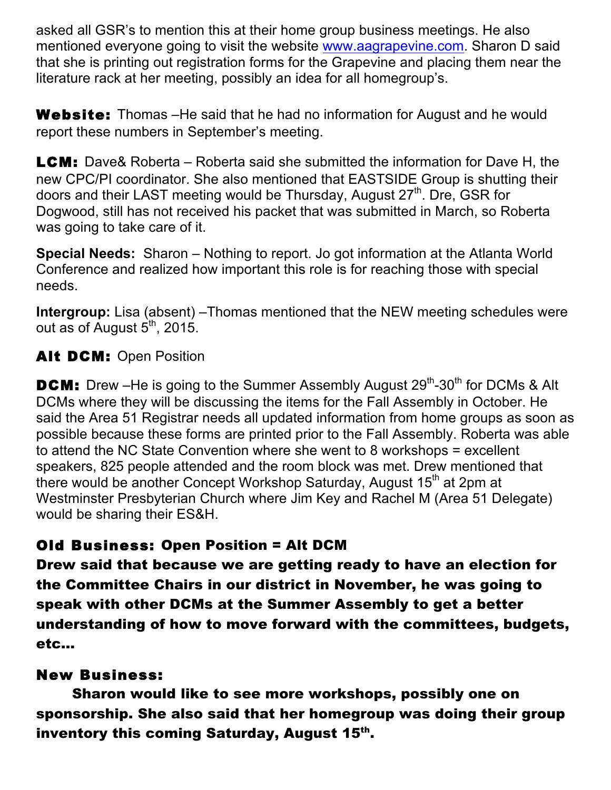asked all GSR's to mention this at their home group business meetings. He also mentioned everyone going to visit the website www.aagrapevine.com. Sharon D said that she is printing out registration forms for the Grapevine and placing them near the literature rack at her meeting, possibly an idea for all homegroup's.

Website: Thomas – He said that he had no information for August and he would report these numbers in September's meeting.

**LCM:** Dave& Roberta – Roberta said she submitted the information for Dave H, the new CPC/PI coordinator. She also mentioned that EASTSIDE Group is shutting their doors and their LAST meeting would be Thursday, August 27<sup>th</sup>. Dre, GSR for Dogwood, still has not received his packet that was submitted in March, so Roberta was going to take care of it.

**Special Needs:** Sharon – Nothing to report. Jo got information at the Atlanta World Conference and realized how important this role is for reaching those with special needs.

**Intergroup:** Lisa (absent) –Thomas mentioned that the NEW meeting schedules were out as of August  $5<sup>th</sup>$ , 2015.

#### Alt DCM: Open Position

**DCM:** Drew –He is going to the Summer Assembly August  $29^{th}$ - $30^{th}$  for DCMs & Alt DCMs where they will be discussing the items for the Fall Assembly in October. He said the Area 51 Registrar needs all updated information from home groups as soon as possible because these forms are printed prior to the Fall Assembly. Roberta was able to attend the NC State Convention where she went to 8 workshops = excellent speakers, 825 people attended and the room block was met. Drew mentioned that there would be another Concept Workshop Saturday, August 15<sup>th</sup> at 2pm at Westminster Presbyterian Church where Jim Key and Rachel M (Area 51 Delegate) would be sharing their ES&H.

## Old Business: Open Position = Alt DCM

Drew said that because we are getting ready to have an election for the Committee Chairs in our district in November, he was going to speak with other DCMs at the Summer Assembly to get a better understanding of how to move forward with the committees, budgets, etc…

#### New Business:

Sharon would like to see more workshops, possibly one on sponsorship. She also said that her homegroup was doing their group inventory this coming Saturday, August 15<sup>th</sup>.